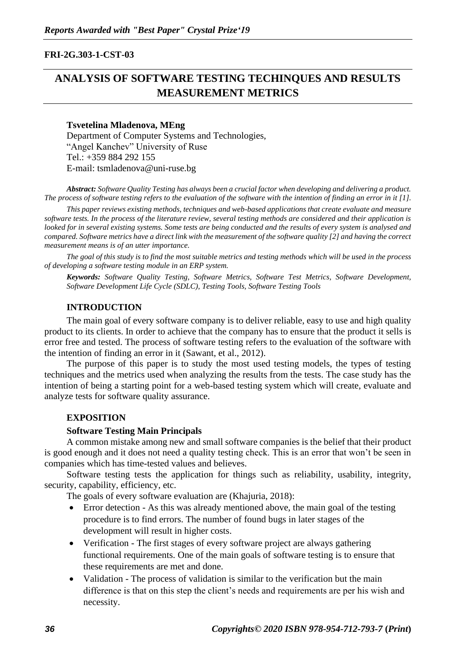### **FRI-2G.303-1-CST-03**

# **ANALYSIS OF SOFTWARE TESTING TECHINQUES AND RESULTS MEASUREMENT METRICS**

### **Tsvetelina Mladenova, MEng**

Department of Computer Systems and Technologies, "Angel Kanchev" University of Ruse Tel.: +359 884 292 155 E-mail: tsmladenova@uni-ruse.bg

*Abstract: Software Quality Testing has always been a crucial factor when developing and delivering a product. The process of software testing refers to the evaluation of the software with the intention of finding an error in it [1].*

*This paper reviews existing methods, techniques and web-based applications that create evaluate and measure software tests. In the process of the literature review, several testing methods are considered and their application is looked for in several existing systems. Some tests are being conducted and the results of every system is analysed and compared. Software metrics have a direct link with the measurement of the software quality [2] and having the correct measurement means is of an utter importance.* 

*The goal of this study is to find the most suitable metrics and testing methods which will be used in the process of developing a software testing module in an ERP system.*

*Keywords: Software Quality Testing, Software Metrics, Software Test Metrics, Software Development, Software Development Life Cycle (SDLC), Testing Tools, Software Testing Tools*

### **INTRODUCTION**

The main goal of every software company is to deliver reliable, easy to use and high quality product to its clients. In order to achieve that the company has to ensure that the product it sells is error free and tested. The process of software testing refers to the evaluation of the software with the intention of finding an error in it (Sawant, et al., 2012).

The purpose of this paper is to study the most used testing models, the types of testing techniques and the metrics used when analyzing the results from the tests. The case study has the intention of being a starting point for a web-based testing system which will create, evaluate and analyze tests for software quality assurance.

### **EXPOSITION**

#### **Software Testing Main Principals**

A common mistake among new and small software companies is the belief that their product is good enough and it does not need a quality testing check. This is an error that won't be seen in companies which has time-tested values and believes.

Software testing tests the application for things such as reliability, usability, integrity, security, capability, efficiency, etc.

The goals of every software evaluation are (Khajuria, 2018):

- Error detection As this was already mentioned above, the main goal of the testing procedure is to find errors. The number of found bugs in later stages of the development will result in higher costs.
- Verification The first stages of every software project are always gathering functional requirements. One of the main goals of software testing is to ensure that these requirements are met and done.
- Validation The process of validation is similar to the verification but the main difference is that on this step the client's needs and requirements are per his wish and necessity.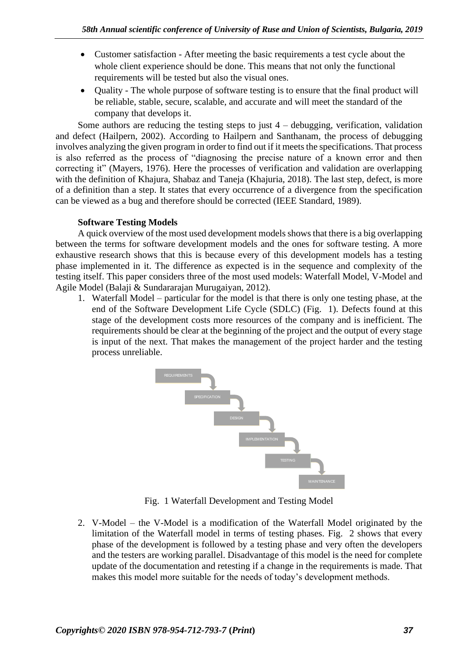- Customer satisfaction After meeting the basic requirements a test cycle about the whole client experience should be done. This means that not only the functional requirements will be tested but also the visual ones.
- Ouality The whole purpose of software testing is to ensure that the final product will be reliable, stable, secure, scalable, and accurate and will meet the standard of the company that develops it.

Some authors are reducing the testing steps to just  $4$  – debugging, verification, validation and defect (Hailpern, 2002). According to Hailpern and Santhanam, the process of debugging involves analyzing the given program in order to find out if it meets the specifications. That process is also referred as the process of "diagnosing the precise nature of a known error and then correcting it" (Mayers, 1976). Here the processes of verification and validation are overlapping with the definition of Khajura, Shabaz and Taneja (Khajuria, 2018). The last step, defect, is more of a definition than a step. It states that every occurrence of a divergence from the specification can be viewed as a bug and therefore should be corrected (IEEE Standard, 1989).

# **Software Testing Models**

A quick overview of the most used development models shows that there is a big overlapping between the terms for software development models and the ones for software testing. A more exhaustive research shows that this is because every of this development models has a testing phase implemented in it. The difference as expected is in the sequence and complexity of the testing itself. This paper considers three of the most used models: Waterfall Model, V-Model and Agile Model (Balaji & Sundararajan Murugaiyan, 2012).

1. Waterfall Model – particular for the model is that there is only one testing phase, at the end of the Software Development Life Cycle (SDLC) [\(Fig. 1\)](#page-1-0). Defects found at this stage of the development costs more resources of the company and is inefficient. The requirements should be clear at the beginning of the project and the output of every stage is input of the next. That makes the management of the project harder and the testing process unreliable.



Fig. 1 Waterfall Development and Testing Model

<span id="page-1-0"></span>2. V-Model – the V-Model is a modification of the Waterfall Model originated by the limitation of the Waterfall model in terms of testing phases. [Fig. 2](#page-2-0) shows that every phase of the development is followed by a testing phase and very often the developers and the testers are working parallel. Disadvantage of this model is the need for complete update of the documentation and retesting if a change in the requirements is made. That makes this model more suitable for the needs of today's development methods.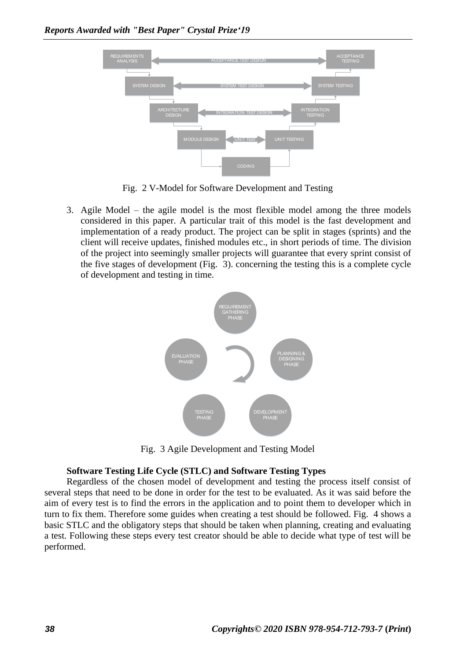

Fig. 2 V-Model for Software Development and Testing

<span id="page-2-0"></span>3. Agile Model – the agile model is the most flexible model among the three models considered in this paper. A particular trait of this model is the fast development and implementation of a ready product. The project can be split in stages (sprints) and the client will receive updates, finished modules etc., in short periods of time. The division of the project into seemingly smaller projects will guarantee that every sprint consist of the five stages of development [\(Fig. 3\)](#page-2-1). concerning the testing this is a complete cycle of development and testing in time.



Fig. 3 Agile Development and Testing Model

### <span id="page-2-1"></span>**Software Testing Life Cycle (STLC) and Software Testing Types**

Regardless of the chosen model of development and testing the process itself consist of several steps that need to be done in order for the test to be evaluated. As it was said before the aim of every test is to find the errors in the application and to point them to developer which in turn to fix them. Therefore some guides when creating a test should be followed. [Fig. 4](#page-3-0) shows a basic STLC and the obligatory steps that should be taken when planning, creating and evaluating a test. Following these steps every test creator should be able to decide what type of test will be performed.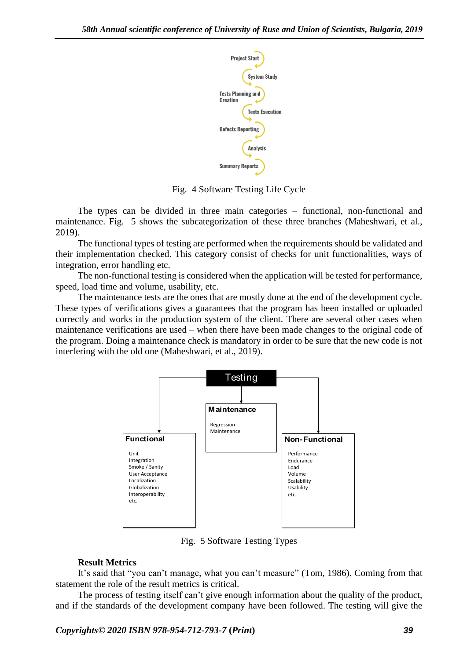

Fig. 4 Software Testing Life Cycle

<span id="page-3-0"></span>The types can be divided in three main categories – functional, non-functional and maintenance. [Fig. 5](#page-3-1) shows the subcategorization of these three branches (Maheshwari, et al., 2019).

The functional types of testing are performed when the requirements should be validated and their implementation checked. This category consist of checks for unit functionalities, ways of integration, error handling etc.

The non-functional testing is considered when the application will be tested for performance, speed, load time and volume, usability, etc.

The maintenance tests are the ones that are mostly done at the end of the development cycle. These types of verifications gives a guarantees that the program has been installed or uploaded correctly and works in the production system of the client. There are several other cases when maintenance verifications are used – when there have been made changes to the original code of the program. Doing a maintenance check is mandatory in order to be sure that the new code is not interfering with the old one (Maheshwari, et al., 2019).



Fig. 5 Software Testing Types

# <span id="page-3-1"></span>**Result Metrics**

It's said that "you can't manage, what you can't measure" (Tom, 1986). Coming from that statement the role of the result metrics is critical.

The process of testing itself can't give enough information about the quality of the product, and if the standards of the development company have been followed. The testing will give the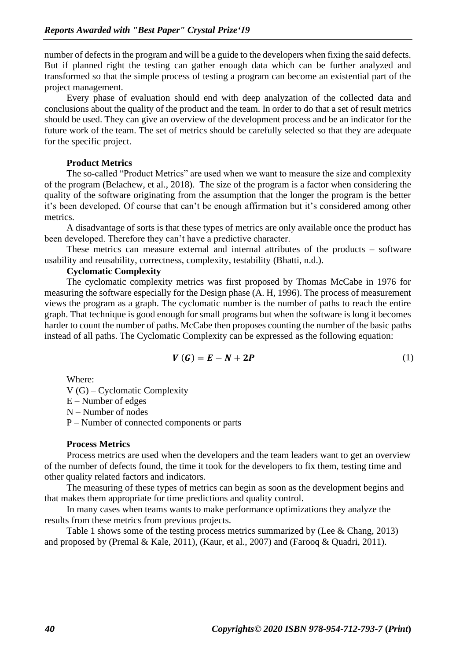number of defects in the program and will be a guide to the developers when fixing the said defects. But if planned right the testing can gather enough data which can be further analyzed and transformed so that the simple process of testing a program can become an existential part of the project management.

Every phase of evaluation should end with deep analyzation of the collected data and conclusions about the quality of the product and the team. In order to do that a set of result metrics should be used. They can give an overview of the development process and be an indicator for the future work of the team. The set of metrics should be carefully selected so that they are adequate for the specific project.

#### **Product Metrics**

The so-called "Product Metrics" are used when we want to measure the size and complexity of the program (Belachew, et al., 2018). The size of the program is a factor when considering the quality of the software originating from the assumption that the longer the program is the better it's been developed. Of course that can't be enough affirmation but it's considered among other metrics.

A disadvantage of sorts is that these types of metrics are only available once the product has been developed. Therefore they can't have a predictive character.

These metrics can measure external and internal attributes of the products – software usability and reusability, correctness, complexity, testability (Bhatti, n.d.).

# **Cyclomatic Complexity**

The cyclomatic complexity metrics was first proposed by Thomas McCabe in 1976 for measuring the software especially for the Design phase (A. H, 1996). The process of measurement views the program as a graph. The cyclomatic number is the number of paths to reach the entire graph. That technique is good enough for small programs but when the software is long it becomes harder to count the number of paths. McCabe then proposes counting the number of the basic paths instead of all paths. The Cyclomatic Complexity can be expressed as the following equation:

$$
V(G) = E - N + 2P \tag{1}
$$

Where:

V (G) – Cyclomatic Complexity E – Number of edges N – Number of nodes P – Number of connected components or parts

#### **Process Metrics**

Process metrics are used when the developers and the team leaders want to get an overview of the number of defects found, the time it took for the developers to fix them, testing time and other quality related factors and indicators.

The measuring of these types of metrics can begin as soon as the development begins and that makes them appropriate for time predictions and quality control.

In many cases when teams wants to make performance optimizations they analyze the results from these metrics from previous projects.

[Table](#page-5-0) 1 shows some of the testing process metrics summarized by (Lee & Chang, 2013) and proposed by (Premal & Kale, 2011), (Kaur, et al., 2007) and (Farooq & Quadri, 2011).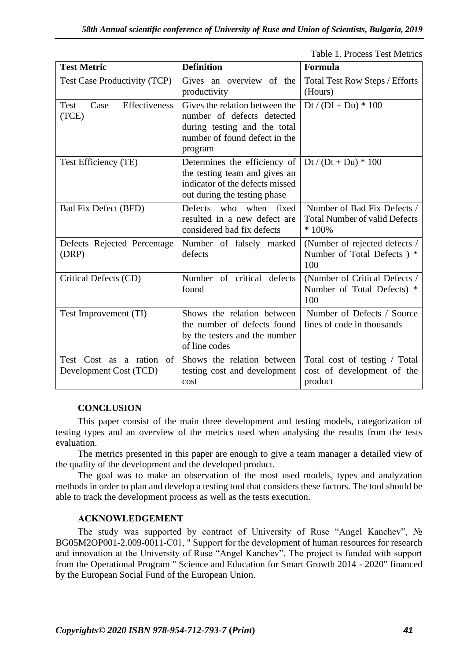Table 1. Process Test Metrics

<span id="page-5-0"></span>

| <b>Test Metric</b>                                    | <b>Definition</b>                                                                                                                        | Formula                                                                        |
|-------------------------------------------------------|------------------------------------------------------------------------------------------------------------------------------------------|--------------------------------------------------------------------------------|
| Test Case Productivity (TCP)                          | Gives an overview of the<br>productivity                                                                                                 | <b>Total Test Row Steps / Efforts</b><br>(Hours)                               |
| Effectiveness<br>Test<br>Case<br>(TCE)                | Gives the relation between the<br>number of defects detected<br>during testing and the total<br>number of found defect in the<br>program | Dt / $(Df + Du) * 100$                                                         |
| Test Efficiency (TE)                                  | Determines the efficiency of<br>the testing team and gives an<br>indicator of the defects missed<br>out during the testing phase         | Dt / $(Dt + Du) * 100$                                                         |
| <b>Bad Fix Defect (BFD)</b>                           | Defects who<br>when fixed<br>resulted in a new defect are<br>considered bad fix defects                                                  | Number of Bad Fix Defects /<br><b>Total Number of valid Defects</b><br>$*100%$ |
| Defects Rejected Percentage<br>(DRP)                  | Number of falsely marked<br>defects                                                                                                      | (Number of rejected defects /<br>Number of Total Defects) *<br>100             |
| Critical Defects (CD)                                 | Number of critical defects<br>found                                                                                                      | (Number of Critical Defects /<br>Number of Total Defects) *<br>100             |
| Test Improvement (TI)                                 | Shows the relation between<br>the number of defects found<br>by the testers and the number<br>of line codes                              | Number of Defects / Source<br>lines of code in thousands                       |
| Test Cost as a ration<br>of<br>Development Cost (TCD) | Shows the relation between<br>testing cost and development<br>cost                                                                       | Total cost of testing / Total<br>cost of development of the<br>product         |

### **CONCLUSION**

This paper consist of the main three development and testing models, categorization of testing types and an overview of the metrics used when analysing the results from the tests evaluation.

The metrics presented in this paper are enough to give a team manager a detailed view of the quality of the development and the developed product.

The goal was to make an observation of the most used models, types and analyzation methods in order to plan and develop a testing tool that considers these factors. The tool should be able to track the development process as well as the tests execution.

### **ACKNOWLEDGEMENT**

The study was supported by contract of University of Ruse "Angel Kanchev", № BG05M2OP001-2.009-0011-C01, " Support for the development of human resources for research and innovation at the University of Ruse "Angel Kanchev". The project is funded with support from the Operational Program " Science and Education for Smart Growth 2014 - 2020" financed by the European Social Fund of the European Union.